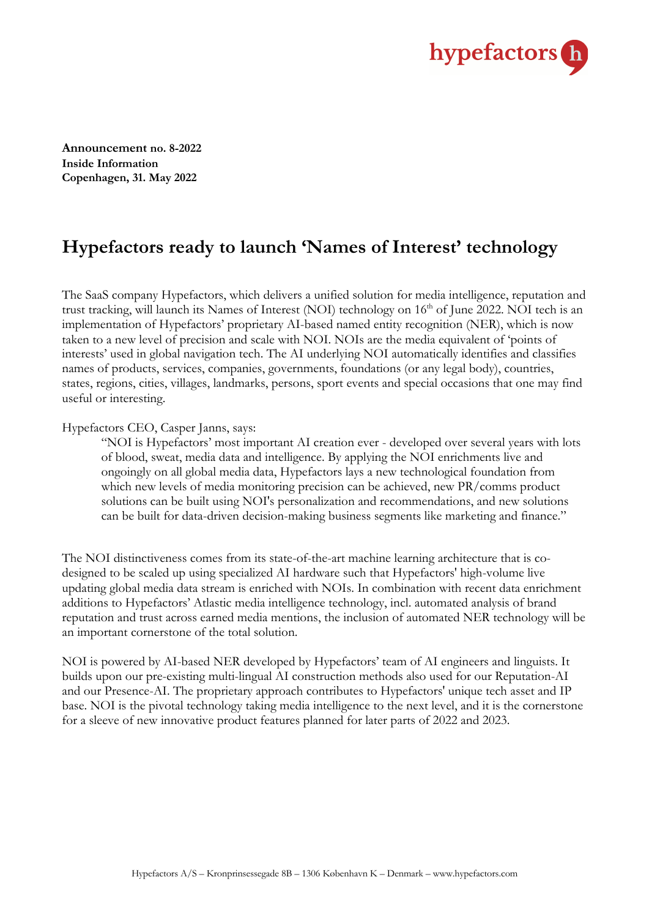

**Announcement no. 8-2022 Inside Information Copenhagen, 31. May 2022**

# **Hypefactors ready to launch 'Names of Interest' technology**

The SaaS company Hypefactors, which delivers a unified solution for media intelligence, reputation and trust tracking, will launch its Names of Interest (NOI) technology on 16<sup>th</sup> of June 2022. NOI tech is an implementation of Hypefactors' proprietary AI-based named entity recognition (NER), which is now taken to a new level of precision and scale with NOI. NOIs are the media equivalent of 'points of interests' used in global navigation tech. The AI underlying NOI automatically identifies and classifies names of products, services, companies, governments, foundations (or any legal body), countries, states, regions, cities, villages, landmarks, persons, sport events and special occasions that one may find useful or interesting.

### Hypefactors CEO, Casper Janns, says:

"NOI is Hypefactors' most important AI creation ever - developed over several years with lots of blood, sweat, media data and intelligence. By applying the NOI enrichments live and ongoingly on all global media data, Hypefactors lays a new technological foundation from which new levels of media monitoring precision can be achieved, new PR/comms product solutions can be built using NOI's personalization and recommendations, and new solutions can be built for data-driven decision-making business segments like marketing and finance."

The NOI distinctiveness comes from its state-of-the-art machine learning architecture that is codesigned to be scaled up using specialized AI hardware such that Hypefactors' high-volume live updating global media data stream is enriched with NOIs. In combination with recent data enrichment additions to Hypefactors' Atlastic media intelligence technology, incl. automated analysis of brand reputation and trust across earned media mentions, the inclusion of automated NER technology will be an important cornerstone of the total solution.

NOI is powered by AI-based NER developed by Hypefactors' team of AI engineers and linguists. It builds upon our pre-existing multi-lingual AI construction methods also used for our Reputation-AI and our Presence-AI. The proprietary approach contributes to Hypefactors' unique tech asset and IP base. NOI is the pivotal technology taking media intelligence to the next level, and it is the cornerstone for a sleeve of new innovative product features planned for later parts of 2022 and 2023.